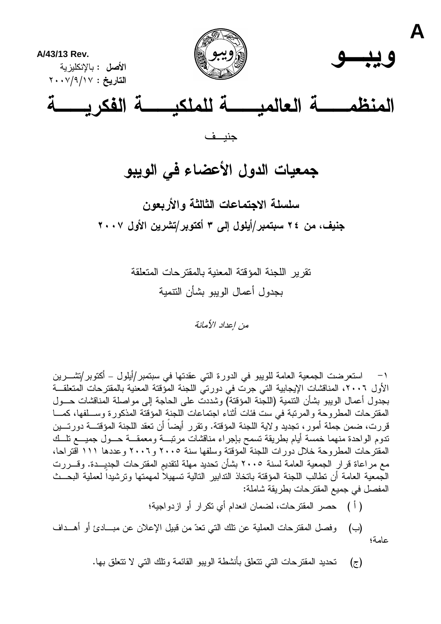

## جمعيات الدول الأعضاء في الويبو

سلسلة الاجتماعات الثالثة والأربعون جنيف، من ٢٤ سبتمبر/أيلول إلى ٣ أكتوبر/تشرين الأول ٢٠٠٧

> نقرير اللجنة المؤقتة المعنية بالمقترحات المتعلقة بجدول أعمال الويبو بشأن النتمية

> > من اعداد الأمانة

١– استعرضت الجمعية العامة للويبو في الدورة التي عقدتها في سبتمبر/أيلول – أكتوبر/تشـــرين الأول ٢٠٠٦، المناقشات الإيجابية التي جرت في دورتي اللجنة المؤقتة المعنية بالمقترحات المتعلقــة بجدو ل أعمال الوبيو بشأن التتمية (اللجنة المؤقتة) وشددت على الحاجة إلى مواصلة المناقشات حــول المقترحات المطروحة والمرتبة في ست فئات أثناء اجتماعات اللجنة المؤقتة المذكورة وســـلفها، كمــــا قررت، ضمن جملة أمور، تجديد ولاية اللجنة المؤقتة. وتقرر أيضاً أن نعقد اللجنة المؤقتـــة دورتـــين ندوم الواحدة منهما خمسة أيام بطريقة نسمح بإجراء مناقشات مرنبسة ومعمقسة حسول جميسع نلسك المقتر حات المطر وحة خلال دور ات اللجنة المؤقتة وسلفها سنة ٢٠٠٥ و ٢٠٠٦ و عددها ١١١ اقتر احا، مع مراعاة قرار الجمعية العامة لسنة ٢٠٠٥ بشأن تحديد مهلة لتقديم المقترحات الجديـــدة. وقـــررت الجمعية العامة أن تطالب اللجنة المؤقتة باتخاذ الندابير النالية تسهيلاً لمهمتها وترشيداً لعملية البحــث المفصل في جميع المقترحات بطريقة شاملة:

( أ ) حصر المقترحات، لضمان انعدام أي نكر ار أو ازدو اجية؛

وفصل المقترحات العملية عن نلك التي تعدّ من قبيل الإعلان عن مبـــادئ أو أهـــداف (ب) عامة؛

> تحديد المقترحات التبي تتعلق بأنشطة الويبو القائمة ونلك التي لا تتعلق بها.  $(\tau)$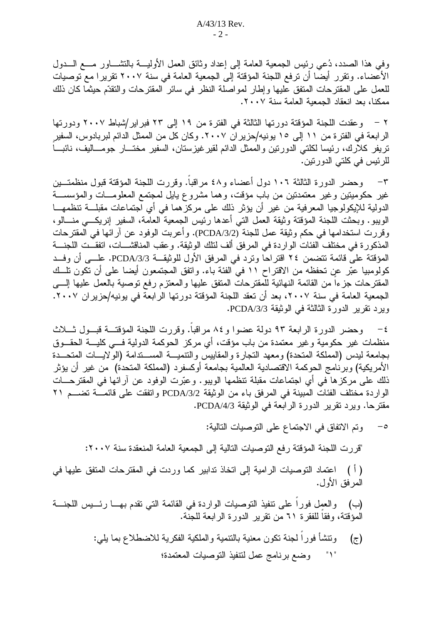وفي هذا الصدد، دُعي رئيس الجمعية العامة إلى إعداد وثائق العمل الأوليــــة بالنتثىــــاور مــــع الــــدول الأعضاء. ونقرر أيضا أن ترفع اللجنة المؤقتة إلى الجمعية العامة في سنة ٢٠٠٧ تقريرا مع توصيات للعمل على المقترحات المتفق عليها وإطار لمواصلة النظر في سائر المقترحات والنقدّم حبثما كان ذلك ممكنا، بعد انعقاد الجمعبة العامة سنة ٢٠٠٧.

٢ – وعقدت اللجنة المؤقتة دورتها الثالثة في الفترة من ١٩ إلى ٢٣ فبراير/شباط ٢٠٠٧ ودورتها الرابعة في الفترة من ١١ إلى ١٥ يونيه/حزير ان ٢٠٠٧. وكان كل من الممثل الدائم لبربادوس، السفير تريفر كلارك، رئيسا لكلتي الدورتين والممثل الدائم لقيرغيزستان، السفير مختـــار جومـــاليف، نائبـــا للرئيس في كلتي الدورنين.

٣– وحضر الدورة الثالثة ١٠٦ دول أعضاء و٤٨ مراقباً. وقررت اللجنة المؤقتة قبول منظمتــين غير حكوميتين وغير معتمدتين من باب مؤقت، وهما مشروع يايل لمجتمع المعلومـــات والمؤسســـة الدولية للإيكولوجيا المعرفية من غير أن يؤثر ذلك على مركزهما في أي اجتماعات مقبلـــة نتظمهـــا الويبو. وبحثت اللجنة المؤقتة وثيقة العمل التبي أعدها رئيس الجمعية العامة، السفير إنريكــي منـــالو، وفررت استخدامها في حكم وثيقة عمل للجنة (PCDA/3/2). وأعربت الوفود عن آرائها في المقترحات المذكورة في مختلف الفئات الواردة في المرفق ألف لنلك الوثيقة. وعقب المناقشـــات، اتفقــت اللجنــــة المؤقتة على قائمة تتضمن ٢٤ اقتراحا وترد في المرفق الأول للوثيقـــة PCDA/3/3، علـــي أن وفــد كولومبيا عبّر عن تحفظه من الاقتراح ١١ في الفئة باء. واتفق المجتمعون أيضا على أن تكون تلَّــك المقترحات جزءا من القائمة النهائية للمقترحات المتفق عليها والمعتزم رفع نوصية بالعمل عليها إلسي الجمعية العامة في سنة ٢٠٠٧، بعد أن تعقد اللجنة المؤقتة دورتها الرابعة في يونيه/حزير ان ٢٠٠٧. ويرد نقرير الدورة الثالثة في الوثيقة PCDA/3/3.

٤– وحضر الدورة الرابعة ٩٣ دولة عضوا و٨٤ مراقبًا. وقررت اللجنة المؤقتــة قبــول ثـــلاث منظمات غير حكومية وغير معتمدة من باب مؤقت، أي مركز الحوكمة الدولية فـــي كليـــة الحقـــوق بجامعة ليدس (المملكة المتحدة) ومعهد التجارة والمقابيس والتتميـــة المســـندامة (الولايــــات المتحـــدة الأمريكية) وبرنامج الحوكمة الاقتصادية العالمية بجامعة أوكسفرد (المملكة المتحدة) من غير أن يؤثر ذلك على مركز ها في أي اجتماعات مقبلة نتظمها الويبو . وعبَّرت الوفود عن آرائها في المقترحـــات الواردة مختلف الفئات المبينة في المرفق باء من الوثيقة PCDA/3/2 واتفقت على قائمــة تضـــم ٢١ مقترحًا. ويرد نقرير الدورة الرابعة في الوثيقة PCDA/4/3.

> وتم الاتفاق في الاجتماع على التوصيات التالية:  $-$ 0

"قررت اللجنة المؤقتة رفع التوصيات التالية إلى الجمعية العامة المنعقدة سنة ٢٠٠٧:

( أ ) اعتماد النوصيات الرامية إلى اتخاذ ندابير كما وردت في المقترحات المتفق عليها في المرفق الأول.

والعمل فورا على نتفيذ التوصيات الواردة في القائمة التي نقدم بهــا رئــيس اللجنـــة (ب) المؤقتة، وفقاً للفقرة ٦١ من تقرير الدورة الرابعة للجنة.

> ونتشأ فورا لجنة نكون معنية بالنتمية والملكية الفكرية للاضطلاع بما يلي:  $(z)$ وضع برنامج عمل لنتفيذ التوصيات المعتمدة؛ " $\uparrow$  "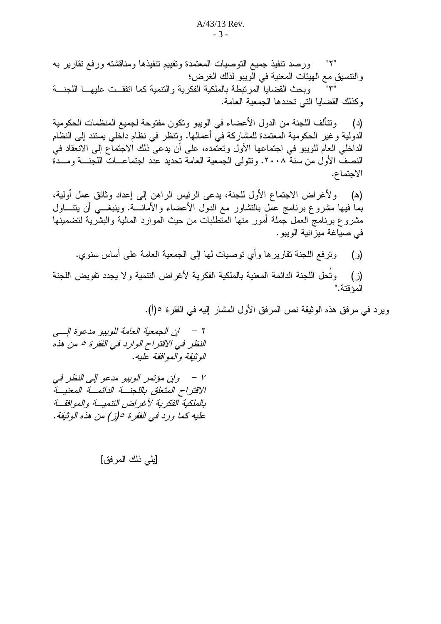ورصد نتفيذ جميع النوصيات المعتمدة ونقييم نتفيذها ومناقشته ورفع نقارير به "۲" والنتسيق مع الهيئات المعنية في الويبو لذلك الغرض؛ وبحث القضايا المرتبطة بالملكية الفكرية والنتمية كما اتفقــت عليهـــا اللجنـــة  $"\uparrow"$ وكذلك القضايا التي تحددها الجمعية العامة.

وتتألف اللجنة من الدول الأعضاء في الويبو وتكون مفتوحة لجميع المنظمات الحكومية (د) الدولية وغير الحكومية المعتمدة للمشاركة في أعمالها. ونتظر في نظام داخلي يستند إلى النظام الداخلي العام للويبو في اجتماعها الأول وتعتمده، على أن يدعى ذلك الاجتماع إلى الانعقاد في النصف الأول من سنة ٢٠٠٨. وتتولى الجمعية العامة تحديد عدد اجتماعــات اللجنـــة ومـــدة الاجتماع.

ولأغراض الاجتماع الأول للجنة، يدعى الرئيس الراهن إلى إعداد وثائق عمل أولية، (ه) بما فيها مشروع برنامج عمل بالنشاور مع الدول الأعضاء والأمانــــة. وينبغــــي أن يتنــــاول مشروع برنامج العمل جملة أمور منها المتطلبات من حيث الموارد المالية والبشرية لتضمينها في صياغة ميز انية الويبو .

- ونزفع اللجنة نقاريرها وأي نوصيات لمها إلى الجمعية العامة على أساس سنوي.  $\left( \begin{array}{c} 0 \\ 0 \end{array} \right)$
- وتُحل اللجنة الدائمة المعنية بالملكية الفكرية لأغراض النتمية ولا يجدد نفويض اللجنة (ز) المؤقتة."

ويرد في مرفق هذه الوثيقة نص المرفق الأول المشار إليه في الفقرة ٥(أ).

النظر في الاقتراح الوارد في الفقرة ٥ من هذه الوثيقة والموافقة عليه.

٧ - وإن مؤتمر الويبو مدعو إلى النظر في الاقتراح المتعلق باللجنسة الدائمسة المعنيسة بالملكية الفكرية لأغراض التنميسة والموافقة عليه كما ورد في الفقرة ٥(ز) من هذه الوثيقة.

## [يلي ذلك المر فق]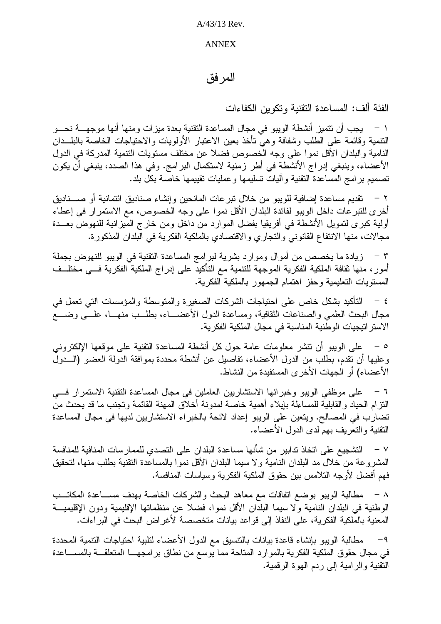$A/43/13$  Rev.

## **ANNEX**

## المر فق

الفئة ألف: المساعدة النقنية وتكوين الكفاءات

١ – يجب أن نتميز أنشطة الويبو في مجال المساعدة النقنية بعدة ميزات ومنها أنها موجهـــة نحـــو النتمية وقائمة على الطلب وشفافة وهي نأخذ بعين الاعتبار الأولويات والاحتياجات الخاصة بالبلــدان النامية والبلدان الأقل نموا على وجه الخصوص فضلا عن مختلف مستويات التنمية المدركة في الدول الأعضاء، وينبغي إدراج الأنشطة في أطر زمنية لاستكمال البرامج. وفي هذا الصدد، ينبغي أن يكون تصميم برامج المساعدة النقنية وأليات تسليمها وعمليات نقييمها خاصة بكل بلد.

٢ – تقديم مساعدة إضافية للويبو من خلال تبر عات المانحين و إنشاء صناديق ائتمانية أو صــــناديق أخرى للتبرعات داخل الويبو لفائدة البلدان الأقل نموا على وجه الخصوص، مع الاستمرار في إعطاء أولية كبرى لتمويل الأنشطة في أفريقيا بفضل الموارد من داخل ومن خارج المبزانية للنهوض بعـــدة مجالات، منها الانتفاع القانوني والتجاري والاقتصادي بالملكية الفكرية في البلدان المذكورة.

٣ – زيادة ما يخصص من أموال وموارد بشرية لبرامج المساعدة النقنية في الويبو للنهوض بجملة أمور، منها ثقافة الملكية الفكرية الموجهة للتنمية مع التأكيد على إدراج الملكية الفكرية فـــي مختلــف المستويات التعليمية وحفز اهتمام الجمهور بالملكية الفكرية.

٤ – الناكيد بشكل خاص على احتياجات الشركات الصغيرة والمتوسطة والمؤسسات التبي تعمل في مجال البحث العلمي والصناعات الثقافية، ومساعدة الدول الأعضــــاء، بطلـــب منهـــا، علـــي وضــــع الاستر اتيجيات الوطنية المناسبة في مجال الملكية الفكرية.

٥ – على الويبو أن نتشر معلومات عامة حول كل أنشطة المساعدة النقنية على موقعها الإلكتروني وعليها أن نقدم، بطلب من الدول الأعضاء، تفاصيل عن أنشطة محددة بموافقة الدولة العضو (الـــدول الأعضاء) أو الجهات الأخر ي المستفيدة من النشاط.

٦ – على موظفى الويبو وخبر ائها الاستشاريين العاملين في مجال المساعدة النقنية الاستمر ار فيي النزام الحياد والقابلية للمساءلة بإيلاء أهمية خاصة لمدونة أخلاق المهنة القائمة ونجنب ما قد يحدث من نضارب في المصالح. ويتعين على الويبو إعداد لائحة بالخبراء الاستشاريين لديها في مجال المساعدة النقنية والتعريف بهم لدى الدول الأعضاء.

٧ – التشجيع على اتخاذ تدابير ٍ من شأنها مساعدة البلدان على التصدي للممار سات المنافية للمنافسة المشروعة من خلال مد البلدان النامية ولا سيما البلدان الأقل نموا بالمساعدة النقنية بطلب منها، لتحقيق فهم أفضل لأوجه التلامس بين حقوق الملكية الفكرية وسياسات المنافسة.

٨ – مطالبة الويبو بوضع اتفاقات مع معاهد البحث والشركات الخاصة بهدف مســاعدة المكاتــب الوطنية في البلدان النامية ولا سيما البلدان الأقل نموا، فضلا عن منظماتها الإقليمية ودون الإقليميـــة المعنية بالملكية الفكرية، على النفاذ إلى قواعد بيانات متخصصة لأغراض البحث في البر اءات.

مطالبة الويبو بإنشاء فاعدة بيانات بالنتسيق مع الدول الأعضاء لتلبية احتياجات النتمية المحددة  $-9$ في مجال حقوق الملكية الفكرية بالموارد المتاحة مما يوسع من نطاق برامجهــا المتعلقـــة بالمســـاعدة النقنية والرامية إلى ردم الهوة الرقمية.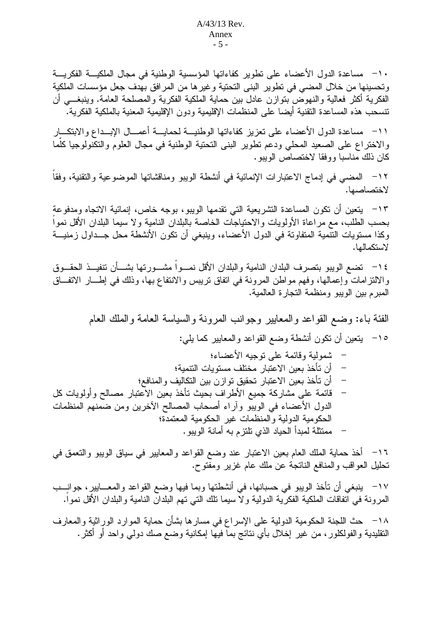· ١- مساعدة الدول الأعضاء على تطوير كفاءاتها المؤسسية الوطنية في مجال الملكيـــة الفكريـــة وتحسينها من خلال المضبي في تطوير البني التحتية وغيرها من المرافق بهدف جعل مؤسسات الملكية الفكرية أكثر فعالية والنهوض بنوازن عادل بين حماية الملكية الفكرية والمصلحة العامة. وينبغـــي أن نتسحب هذه المساعدة النقنية أيضا على المنظمات الإقليمية ودون الإقليمية المعنية بالملكية الفكرية.

1١– مساعدة الدول الأعضاء على تعزيز كفاءاتها الوطنيـــة لحمايــــة أعمــــال الإبـــداع والابتكــــار والاختراع على الصعيد المحلي ودعم نطوير البنبي النحتية الوطنية في مجال العلوم والنكنولوجيا كلَّما كان ذلك مناسبا ووفقا لاختصاص الويبو .

١٢– المضيي في إدماج الاعتبارات الإنمائية في أنشطة الويبو ومناقشاتها الموضوعية والتقنية، وفقا لاختصاصها.

١٣ - يتعين أن تكون المساعدة التشريعية التي تقدمها الويبو، بوجه خاص، إنمائية الاتجاه ومدفوعة بحسب الطلب، مع مر اعاة الأولويات و الاحتياجات الخاصة بالبلدان النامية و لا سيما البلدان الأقل نمو ا وكذا مستويات النتمية المتفاوتة في الدول الأعضاء، وينبغي أن تكون الأنشطة محل جــداول زمنيـــة لاستكمالها.

١٤− نضع الويبو بنصرف البلدان النامية والبلدان الأقل نمـــواً مشـــورتها بشـــأن نتفيـــذ الحقـــوق والالنزامات وإعمالها، وفهم مواطن المرونة في اتفاق نريبس والانتفاع بها، وذلك في إطـــار الاتفـــاق المبرح بين الويبو ومنظمة النجارة العالمية.

الفئة باء: وضع القواعد والمعابير وجوانب المرونة والسياسة العامة والملك العام ١٥– يتعين أن نكون أنشطة وضع القواعد والمعابير كما يلي: شمولية وقائمة على توجيه الأعضاء؛ – أن تأخذ بعين الاعتبار مختلف مستويات التنمية؛ أن تأخذ بعين الاعتبار تحقيق توإزن بين التكاليف والمنافع؛ قائمة على مشاركة جميع الأطراف بحيث تأخذ بعين الاعتبار مصالح وأولويات كل الدول الأعضاء فى الويبو وأراء أصحاب المصالح الأخرين ومن ضمنهم المنظمات الحكومية الدولية والمنظمات غير الحكومية المعتمدة؛ ممنتلة لمبدأ الحياد الذي نلتزم به أمانة الويبو.

١٦– أخذ حماية الملك العام بعين الاعتبار عند وضع القواعد والمعايير في سياق الويبو والتعمق في تحليل العواقب والمنافع الناتجة عن ملك عام غزير ومفتوح.

١٧– ينبغي أن نأخذ الويبو في حسبانها، في أنشطتها وبما فيها وضع القواعد والمعـــابير، جوانـــب المرونة في اتفاقات الملكية الفكرية الدولية ولا سيما نلك التي تهم البلدان النامية والبلدان الأقل نمواً.

١٨− حث اللجنة الحكومية الدولية على الإسراع في مسارها بشأن حماية الموارد الوراثية والمعارف النقليدية والفولكلور، من غير إخلال بأي نتائج بما فيها إمكانية وضع صك دولي واحد أو أكثر .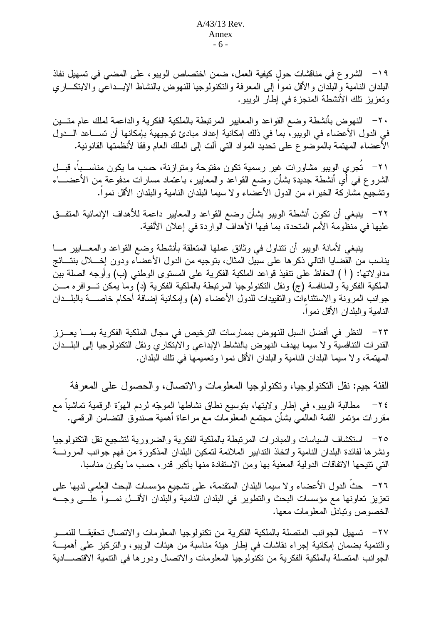١٩ – الشروع في مناقشات حول كيفية العمل، ضمن اختصاص الويبو، على المضىي في تسهيل نفاذ البلدان النامية والبلدان والأقل نموآ إلى المعرفة والنكنولوجيا للنهوض بالنشاط الإبــداعي والابتكـــاري وتعزيز نلك الأنشطة المنجزة في إطار الويبو.

٢٠ – النهوض بأنشطة وضع القواعد والمعايير المرتبطة بالملكية الفكرية والداعمة لملك عام متسين في الدول الأعضاء في الويبو ، بما في ذلك إمكانية إعداد مبادئ توجيهية بإمكانها أن تســـاعد الـــدول الأعضاء المهتمة بالموضوع على نحديد المواد التي ألت إلى الملك العام وفقا لأنظمتها القانونية.

٢١- - تَجرِي الويبو مشاورات غير رسمية تكون مفتوحة ومتوازنة، حسب ما يكون مناســباً، قبــل الشروع فـي أي أنشطة جديدة بشأن وضـع القواعد والمعايير، بـاعتماد مسارات مدفوعة من الأعضــــاء ونشجيع مشاركة الخبراء من الدول الأعضاء ولا سيما البلدان النامية والبلدان الأقل نموا.

٢٢– ينبغي أن تكون أنشطة الويبو بشأن وضع القواعد والمعايير داعمة للأهداف الإنمائية المتفــق عليها في منظومة الأمم المتحدة، بما فيها الأهداف الواردة في إعلان الألفية.

بنبغي لأمانة الويبو أن نتناول في وثائق عملها المنعلقة بأنشطة وضع القواعد والمعـــابير مـــا يناسب من القضايا النالي ذكرها على سبيل المثال، بتوجيه من الدول الأعضاء ودون إخــــلال بنتـــائج مداولاتها: ( أ ) الحفاظ على نتفيذ قواعد الملكية الفكرية على المستوى الوطني (ب) وأوجه الصلة بين الملكية الفكرية والمنافسة (ج) ونقل النكنولوجيا المرتبطة بالملكية الفكرية (د) وما يمكن تسوافره مسن جوانب المرونة والاستثناءات والتقييدات للدول الأعضاء (۵) وإمكانية إضافة أحكام خاصــــة بالبلـــدان النامية والبلدان الأقل نموا.

٢٣ – النظر في أفضل السبل للنهوض بممارسات الترخيص في مجال الملكية الفكرية بمــــا يعـــزر القدرات التنافسية ولا سيما بهدف النهوض بالنشاط الإبداعي والابتكاري ونقل النكنولوجيا إلى البلــدان المهتمة، ولا سيما البلدان النامية والبلدان الأقل نموا وتعميمها في نلك البلدان.

الفئة جيم: نقل النكنولوجيا، ونكنولوجيا المعلومات والاتصال، والحصول على المعرفة ٢٤– مطالبة الويبو، في إطار ولايتها، بتوسيع نطاق نشاطها الموجّه لردم الهوّة الرقمية تماشياً مع مقررات مؤتمر القمة العالمي بشأن مجتمع المعلومات مع مراعاة أهمية صندوق التضامن الرقمي.

٢٥– استكشاف السياسات والمبادرات المرتبطة بالملكية الفكرية والضرورية لتشجيع نقل التكنولوجيا ونشرها لفائدة البلدان النامية وانخاذ الندابير الملائمة لتمكين البلدان المذكورة من فهم جوانب المرونـــة التي تتيحها الاتفاقات الدولية المعنية بها ومن الاستفادة منها بأكبر قدر ، حسب ما يكون مناسبا.

٢٦– حثُّ الدول الأعضاء ولا سيما البلدان المنقدمة، على تشجيع مؤسسات البحث العلمي لديها على تعزيز تعاونها مع مؤسسات البحث والتطوير في البلدان النامية والبلدان الأقـــل نمـــواً علــــي وجــــه الخصوص ونبادل المعلومات معها.

٢٧– تسهيل الجو انب المتصلة بالملكية الفكر ية من تكنو لو جيا المعلو مات و الاتصال تحقيقـــا للنمـــو والنتمية بضمان إمكانية إجراء نقاشات في إطار هيئة مناسبة من هيئات الويبو، والنركيز على أهميـــة الجوانب المتصلة بالملكية الفكرية من تكنولوجيا المعلومات والاتصال ودورها في التتمية الاقتصـــادية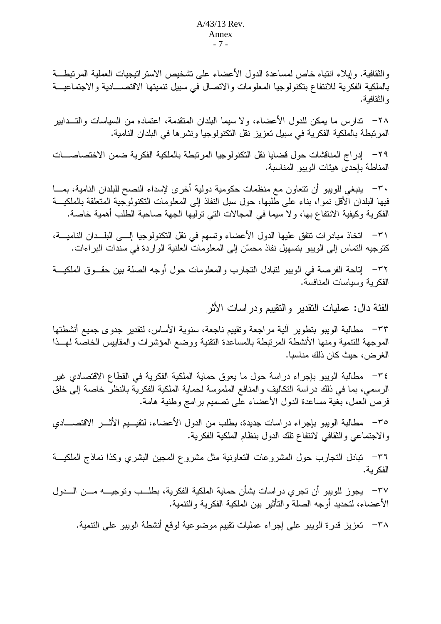والثقافية. وإيلاء انتباه خاص لمساعدة الدول الأعضاء على تشخيص الاستراتيجيات العملية المرتبطة بالملكية الفكرية للانتفاع بتكنولوجيا المعلومات والاتصال في سبيل تتميتها الاقتصـــادية والاجتماعيـــة و النقافية.

٢٨− ندارس ما يمكن للدول الأعضاء، ولا سيما البلدان المنقدمة، اعتماده من السياسات والتـــدابير المرنبطة بالملكية الفكرية في سبيل تعزيز نقل النكنولوجيا ونشرها في البلدان النامية.

٢٩– إدراج المناقشات حول قضايا نقل التكنولوجيا المرتبطة بالملكية الفكرية ضمن الاختصاصـــات المناطة بإحدى هيئات الويبو المناسبة.

٣٠– ينبغي للويبو أن نتعاون مع منظمات حكومية دولية أخرى لإسداء النصح للبلدان النامية، بمـــا فيها البلدان الأقل نموا، بناء على طلبها، حول سبل النفاذ إلى المعلومات النكنولوجية المتعلقة بالملكيـــة الفكرية وكيفية الانتفاع بها، ولا سيما في المجالات التي توليها الجهة صاحبة الطلب أهمية خاصة.

٣١– اتخاذ مبادر ات نتفق عليها الدول الأعضاء ونسهم في نقل النكنولوجيا إلـــي البلـــدان الناميـــة، كتوجيه التماس إلى الويبو بتسهيل نفاذ محسّن إلى المعلومات العلنية الواردة في سندات البر اءات.

٣٢– إناحة الفرصة في الويبو لنبادل النجارب والمعلومات حول أوجه الصلة بين حقــوق الملكيـــة الفكرية وسياسات المنافسة.

الفئة دال: عمليات النقدير والنقييم ودراسات الأثر

٣٣– مطالبة الويبو بتطوير آلية مر اجعة وتقييم ناجعة، سنوية الأساس، لتقدير ِ جدوى جميع أنشطتها الموجهة للتتمية ومنها الأنشطة المرتبطة بالمساعدة التقنية ووضع المؤشرات والمقابيس الخاصة لهسذا الغرض، حيث كان ذلك مناسبا.

٣٤- مطالبة الويبو بإجراء دراسة حول ما يعوق حماية الملكية الفكرية في القطاع الاقتصادي غير الرسمي، بما في ذلك دراسة النكاليف والمنافع الملموسة لحماية الملكية الفكرية بالنظر خاصة إلى خلق فرص العمل، بغية مساعدة الدول الأعضاء على نصميم برامج وطنية هامة.

٣٥– مطالبة الويبو بإجراء در اسات جديدة، بطلب من الدول الأعضاء، لتقيـــيم الأثـــر الاقتصــــادي والاجتماعي والثقافي لانتفاع نلك الدول بنظام الملكية الفكرية.

٣٦– تبادل النجارب حول المشروعات النعاونية مثل مشروع المحبين البشري وكذا نماذج الملكيـــة الفكر بة.

٣٧ – يجو ز للو يبو أن تجر ي در اسات بشأن حماية الملكية الفكر ية، بطلــب و تو جيــــه مـــن الـــدو ل الأعضاء، لتحديد أوجه الصلة والتأثير بين الملكية الفكرية والتنمية.

٣٨ - تعزيز قدرة الويبو على إجراء عمليات تقييم موضوعية لوقع أنشطة الويبو على التنمية.